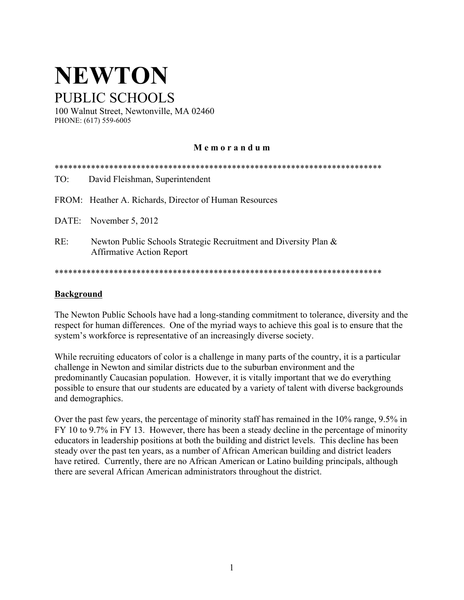# **NEWTON** PUBLIC SCHOOLS

100 Walnut Street, Newtonville, MA 02460 PHONE: (617) 559-6005

#### **M e m o r a n d u m**

| TO: | David Fleishman, Superintendent                                                                      |
|-----|------------------------------------------------------------------------------------------------------|
|     | FROM: Heather A. Richards, Director of Human Resources                                               |
|     | DATE: November 5, 2012                                                                               |
| RE: | Newton Public Schools Strategic Recruitment and Diversity Plan &<br><b>Affirmative Action Report</b> |
|     |                                                                                                      |

#### **Background**

The Newton Public Schools have had a long-standing commitment to tolerance, diversity and the respect for human differences. One of the myriad ways to achieve this goal is to ensure that the system's workforce is representative of an increasingly diverse society.

While recruiting educators of color is a challenge in many parts of the country, it is a particular challenge in Newton and similar districts due to the suburban environment and the predominantly Caucasian population. However, it is vitally important that we do everything possible to ensure that our students are educated by a variety of talent with diverse backgrounds and demographics.

Over the past few years, the percentage of minority staff has remained in the 10% range, 9.5% in FY 10 to 9.7% in FY 13. However, there has been a steady decline in the percentage of minority educators in leadership positions at both the building and district levels. This decline has been steady over the past ten years, as a number of African American building and district leaders have retired. Currently, there are no African American or Latino building principals, although there are several African American administrators throughout the district.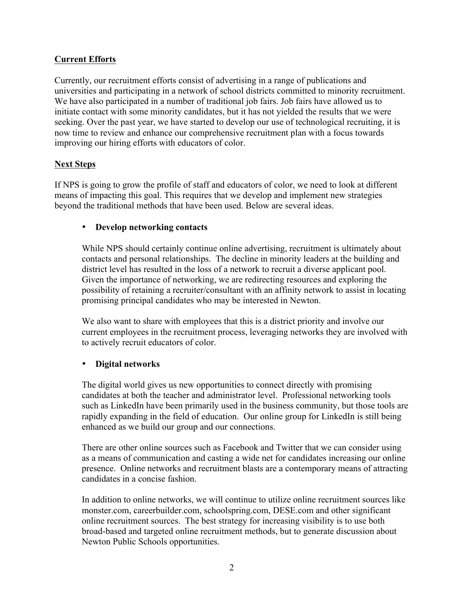#### **Current Efforts**

Currently, our recruitment efforts consist of advertising in a range of publications and universities and participating in a network of school districts committed to minority recruitment. We have also participated in a number of traditional job fairs. Job fairs have allowed us to initiate contact with some minority candidates, but it has not yielded the results that we were seeking. Over the past year, we have started to develop our use of technological recruiting, it is now time to review and enhance our comprehensive recruitment plan with a focus towards improving our hiring efforts with educators of color.

#### **Next Steps**

If NPS is going to grow the profile of staff and educators of color, we need to look at different means of impacting this goal. This requires that we develop and implement new strategies beyond the traditional methods that have been used. Below are several ideas.

#### • **Develop networking contacts**

While NPS should certainly continue online advertising, recruitment is ultimately about contacts and personal relationships. The decline in minority leaders at the building and district level has resulted in the loss of a network to recruit a diverse applicant pool. Given the importance of networking, we are redirecting resources and exploring the possibility of retaining a recruiter/consultant with an affinity network to assist in locating promising principal candidates who may be interested in Newton.

We also want to share with employees that this is a district priority and involve our current employees in the recruitment process, leveraging networks they are involved with to actively recruit educators of color.

#### • **Digital networks**

The digital world gives us new opportunities to connect directly with promising candidates at both the teacher and administrator level. Professional networking tools such as LinkedIn have been primarily used in the business community, but those tools are rapidly expanding in the field of education. Our online group for LinkedIn is still being enhanced as we build our group and our connections.

There are other online sources such as Facebook and Twitter that we can consider using as a means of communication and casting a wide net for candidates increasing our online presence. Online networks and recruitment blasts are a contemporary means of attracting candidates in a concise fashion.

In addition to online networks, we will continue to utilize online recruitment sources like monster.com, careerbuilder.com, schoolspring.com, DESE.com and other significant online recruitment sources. The best strategy for increasing visibility is to use both broad-based and targeted online recruitment methods, but to generate discussion about Newton Public Schools opportunities.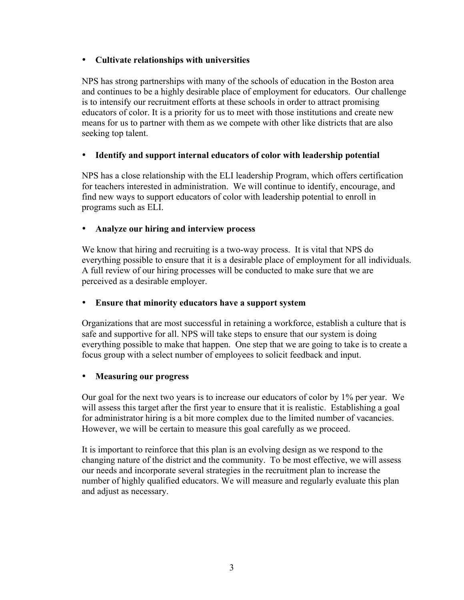#### • **Cultivate relationships with universities**

NPS has strong partnerships with many of the schools of education in the Boston area and continues to be a highly desirable place of employment for educators. Our challenge is to intensify our recruitment efforts at these schools in order to attract promising educators of color. It is a priority for us to meet with those institutions and create new means for us to partner with them as we compete with other like districts that are also seeking top talent.

#### • **Identify and support internal educators of color with leadership potential**

NPS has a close relationship with the ELI leadership Program, which offers certification for teachers interested in administration. We will continue to identify, encourage, and find new ways to support educators of color with leadership potential to enroll in programs such as ELI.

## • **Analyze our hiring and interview process**

We know that hiring and recruiting is a two-way process. It is vital that NPS do everything possible to ensure that it is a desirable place of employment for all individuals. A full review of our hiring processes will be conducted to make sure that we are perceived as a desirable employer.

#### • **Ensure that minority educators have a support system**

Organizations that are most successful in retaining a workforce, establish a culture that is safe and supportive for all. NPS will take steps to ensure that our system is doing everything possible to make that happen. One step that we are going to take is to create a focus group with a select number of employees to solicit feedback and input.

#### • **Measuring our progress**

Our goal for the next two years is to increase our educators of color by 1% per year. We will assess this target after the first year to ensure that it is realistic. Establishing a goal for administrator hiring is a bit more complex due to the limited number of vacancies. However, we will be certain to measure this goal carefully as we proceed.

It is important to reinforce that this plan is an evolving design as we respond to the changing nature of the district and the community. To be most effective, we will assess our needs and incorporate several strategies in the recruitment plan to increase the number of highly qualified educators. We will measure and regularly evaluate this plan and adjust as necessary.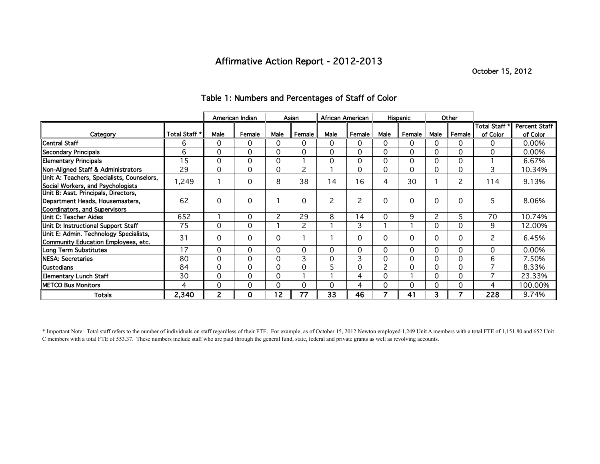## Affirmative Action Report - 2012-2013

October 15, 2012

|                                            |                 | American Indian |             | Asian |        | African American |                |              | Hispanic |          | Other    |               |                      |
|--------------------------------------------|-----------------|-----------------|-------------|-------|--------|------------------|----------------|--------------|----------|----------|----------|---------------|----------------------|
|                                            |                 |                 |             |       |        |                  |                |              |          |          |          | Total Staff * | <b>Percent Staff</b> |
| Category                                   | Total Staff *   | Male            | Female      | Male  | Female | Male             | Female         | Male         | Female   | Male     | Female   | of Color      | of Color             |
| <b>Central Staff</b>                       | 6               | $\Omega$        | $\Omega$    | 0     | 0      | 0                | 0              | 0            | 0        | 0        | 0        | 0             | 0.00%                |
| Secondary Principals                       | 6               | 0               | $\mathbf 0$ | 0     | 0      | 0                | 0              | 0            | 0        | $\Omega$ | $\Omega$ | 0             | 0.00%                |
| <b>Elementary Principals</b>               | $1\overline{5}$ | 0               | 0           | 0     |        | 0                | 0              | 0            | $\Omega$ | $\Omega$ | $\Omega$ |               | 6.67%                |
| Non-Aligned Staff & Administrators         | 29              | 0               | 0           | 0     | 2      |                  | 0              | 0            | 0        | 0        | 0        | 3             | 10.34%               |
| Unit A: Teachers, Specialists, Counselors, | 1,249           |                 | 0           | 8     | 38     | 14               | 16             | 4            | 30       |          | 2        | 114           | 9.13%                |
| Social Workers, and Psychologists          |                 |                 |             |       |        |                  |                |              |          |          |          |               |                      |
| Unit B: Asst. Principals, Directors,       |                 |                 |             |       |        |                  |                |              |          |          |          |               |                      |
| Department Heads, Housemasters,            | 62              | $\Omega$        | $\Omega$    |       | 0      | 2                | $\overline{c}$ | 0            | $\Omega$ | $\Omega$ | $\Omega$ | 5.            | 8.06%                |
| Coordinators, and Supervisors              |                 |                 |             |       |        |                  |                |              |          |          |          |               |                      |
| Unit C: Teacher Aides                      | 652             |                 | 0           | 2     | 29     | 8                | 14             | 0            | 9        | 2        |          | 70            | 10.74%               |
| Unit D: Instructional Support Staff        | 75              | $\Omega$        | $\Omega$    |       | 2      |                  | 3              |              |          | 0        | 0        | 9             | 12.00%               |
| Unit E: Admin. Technology Specialists,     | 31              | $\Omega$        | 0           | 0     |        |                  | $\Omega$       | 0            | $\Omega$ | $\Omega$ | $\Omega$ | 2             | 6.45%                |
| Community Education Employees, etc.        |                 |                 |             |       |        |                  |                |              |          |          |          |               |                      |
| <b>Long Term Substitutes</b>               | 17              | $\Omega$        | $\Omega$    | 0     | 0      | 0                | 0              | 0            | $\Omega$ | $\Omega$ | $\Omega$ | $\Omega$      | 0.00%                |
| NESA: Secretaries                          | 80              | $\Omega$        | 0           | 0     | 3      | 0                | 3              | 0            | $\Omega$ | $\Omega$ | $\Omega$ | 6             | 7.50%                |
| Custodians                                 | 84              | 0               | 0           | 0     | 0      | 5                | 0              | $\mathbf{2}$ | 0        | 0        | 0        | 7             | 8.33%                |
| <b>Elementary Lunch Staff</b>              | 30              | 0               | 0           | 0     |        |                  | 4              | 0            |          | 0        | 0        | ⇁             | 23.33%               |
| <b>METCO Bus Monitors</b>                  | 4               | 0               | 0           | 0     | 0      | 0                | 4              |              | 0        | 0        | 0        | 4             | 100.00%              |
| Totals                                     | 2,340           | 2               | $\mathbf 0$ | 12    | 77     | 33               | 46             |              | 41       | 3        |          | 228           | 9.74%                |

## Table 1: Numbers and Percentages of Staff of Color

\* Important Note: Total staff refers to the number of individuals on staff regardless of their FTE. For example, as of October 15, 2012 Newton employed 1,249 Unit A members with a total FTE of 1,151.80 and 652 Unit C members with a total FTE of 553.37. These numbers include staff who are paid through the general fund, state, federal and private grants as well as revolving accounts.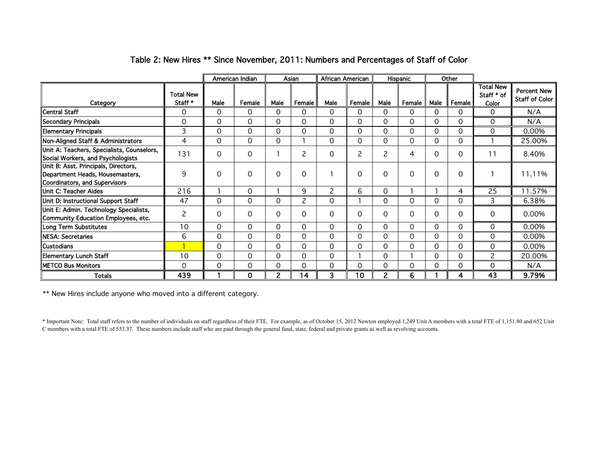|                                                                                                          |                             | American Indian |             | Asian          |        | African American |        |          | Hispanic |          | Other    |                                         |                                             |
|----------------------------------------------------------------------------------------------------------|-----------------------------|-----------------|-------------|----------------|--------|------------------|--------|----------|----------|----------|----------|-----------------------------------------|---------------------------------------------|
| Category                                                                                                 | <b>Total New</b><br>Staff * | Male            | Female      | Male           | Female | Male             | Female | Male     | Female   | Male     | Female   | <b>Total New</b><br>Staff * of<br>Color | <b>Percent New</b><br><b>Staff of Color</b> |
| <b>Central Staff</b>                                                                                     | $\Omega$                    | $\Omega$        | $\Omega$    | 0              | 0      | 0                | 0      | 0        | 0        | $\Omega$ | 0        | $\Omega$                                | N/A                                         |
| <b>Secondary Principals</b>                                                                              | 0                           | $\Omega$        | $\Omega$    | 0              | 0      | 0                | 0      | $\Omega$ | $\Omega$ | $\Omega$ | $\Omega$ | $\Omega$                                | N/A                                         |
| <b>Elementary Principals</b>                                                                             | 3                           | $\Omega$        | $\Omega$    | 0              | 0      | 0                | 0      | $\Omega$ | $\Omega$ | $\Omega$ | $\Omega$ | $\Omega$                                | 0.00%                                       |
| Non-Aligned Staff & Administrators                                                                       | 4                           | $\Omega$        | $\Omega$    | 0              |        | 0                | 0      | $\Omega$ | $\Omega$ | $\Omega$ | $\Omega$ |                                         | 25.00%                                      |
| Unit A: Teachers, Specialists, Counselors,<br>Social Workers, and Psychologists                          | 131                         | $\Omega$        | 0           |                | 2      | 0                | 2      | 2        | 4        | $\Omega$ | $\Omega$ | 11                                      | 8.40%                                       |
| Unit B: Asst. Principals, Directors,<br>Department Heads, Housemasters,<br>Coordinators, and Supervisors | 9                           | $\Omega$        | $\mathbf 0$ | 0              | 0      |                  | 0      | $\Omega$ | $\Omega$ | 0        | $\Omega$ |                                         | 11.11%                                      |
| Unit C: Teacher Aides                                                                                    | 216                         |                 | $\Omega$    |                | 9      | 2                | 6      | $\Omega$ |          |          | 4        | 25                                      | 11.57%                                      |
| Unit D: Instructional Support Staff                                                                      | 47                          | 0               | 0           | 0              | 2      | 0                |        | 0        | 0        | $\Omega$ | 0        | 3                                       | 6.38%                                       |
| Unit E: Admin. Technology Specialists,<br>Community Education Employees, etc.                            | 2                           | $\Omega$        | $\Omega$    | $\Omega$       | 0      | 0                | 0      | $\Omega$ | $\Omega$ | $\Omega$ | $\Omega$ | $\Omega$                                | 0.00%                                       |
| <b>Long Term Substitutes</b>                                                                             | 10                          | $\Omega$        | $\Omega$    | 0              | 0      | 0                | 0      | $\Omega$ | 0        | $\Omega$ | $\Omega$ | $\Omega$                                | 0.00%                                       |
| NESA: Secretaries                                                                                        | 6                           | 0               | $\Omega$    | 0              | 0      | 0                | 0      | 0        | 0        | 0        | 0        | $\Omega$                                | 0.00%                                       |
| <b>Custodians</b>                                                                                        |                             | $\Omega$        | 0           | 0              | 0      | 0                | 0      | $\Omega$ | $\Omega$ | $\Omega$ | $\Omega$ | $\Omega$                                | 0.00%                                       |
| <b>Elementary Lunch Staff</b>                                                                            | 10                          | $\Omega$        | 0           | 0              | 0      | 0                |        | 0        |          | $\Omega$ | $\Omega$ | 2                                       | 20.00%                                      |
| METCO Bus Monitors                                                                                       | 0                           | $\Omega$        | $\Omega$    | 0              | 0      | 0                | 0      | 0        | 0        | 0        | $\Omega$ | $\Omega$                                | N/A                                         |
| Totals                                                                                                   | 439                         |                 | $\mathbf 0$ | $\overline{2}$ | 14     | 3                | 10     | 2        | 6        |          | 4        | 43                                      | 9.79%                                       |

## Table 2: New Hires \*\* Since November, 2011: Numbers and Percentages of Staff of Color

\*\* New Hires include anyone who moved into a different category.

\* Important Note: Total staff refers to the number of individuals on staff regardless of their FTE. For example, as of October 15, 2012 Newton employed 1,249 Unit A members with a total FTE of 1,151.80 and 652 Unit C members with a total FTE of 553.37. These numbers include staff who are paid through the general fund, state, federal and private grants as well as revolving accounts.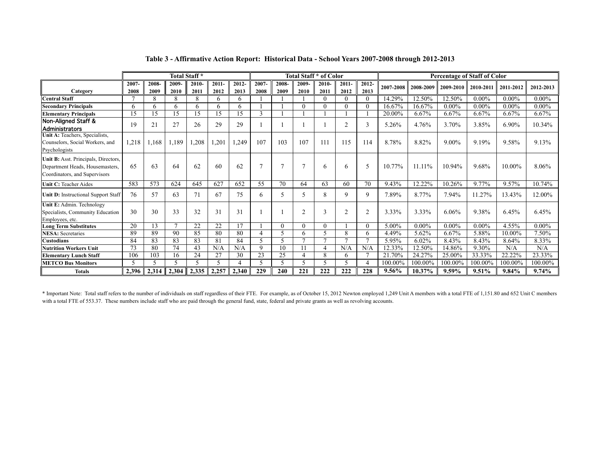|                                                                                                          |              |               | Total Staff*  |               |                  |                  |                          |               |               | Total Staff * of Color |                  |                  | <b>Percentage of Staff of Color</b> |           |           |           |           |           |  |
|----------------------------------------------------------------------------------------------------------|--------------|---------------|---------------|---------------|------------------|------------------|--------------------------|---------------|---------------|------------------------|------------------|------------------|-------------------------------------|-----------|-----------|-----------|-----------|-----------|--|
| Category                                                                                                 | 2007<br>2008 | 2008-<br>2009 | 2009-<br>2010 | 2010-<br>2011 | $2011 -$<br>2012 | $2012 -$<br>2013 | 2007-<br>2008            | 2008-<br>2009 | 2009-<br>2010 | $2010 -$<br>2011       | $2011 -$<br>2012 | $2012 -$<br>2013 | 2007-2008                           | 2008-2009 | 2009-2010 | 2010-2011 | 2011-2012 | 2012-2013 |  |
| <b>Central Staff</b>                                                                                     |              | 8             | 8             | 8             | h                | h                |                          |               |               |                        | 0                | 0                | 14.29%                              | 12.50%    | 12.50%    | $0.00\%$  | $0.00\%$  | $0.00\%$  |  |
| <b>Secondary Principals</b>                                                                              | 6            | 6             | 6             | 6             | 6                | 6                |                          |               | $\Omega$      | ∩                      | $\Omega$         | 0                | 16.67%                              | 16.67%    | $0.00\%$  | $0.00\%$  | $0.00\%$  | $0.00\%$  |  |
| <b>Elementary Principals</b>                                                                             | 15           | 15            | 15            | 15            | 15               | 15               |                          |               |               |                        |                  |                  | 20.00%                              | 6.67%     | $6.67\%$  | 6.67%     | 6.67%     | 6.67%     |  |
| <b>Non-Aligned Staff &amp;</b><br>Administrators                                                         | 19           | 21            | 27            | 26            | 29               | 29               |                          |               |               |                        | 2                | 3                | 5.26%                               | 4.76%     | 3.70%     | 3.85%     | 6.90%     | 10.34%    |  |
| Unit A: Teachers, Specialists,<br>Counselors, Social Workers, and<br>Psychologists                       | 1,218        | 168           | 1,189         | 208.          | 1,201            | 1,249            | 107                      | 103           | 107           | 111                    | 115              | 114              | 8.78%                               | 8.82%     | 9.00%     | 9.19%     | 9.58%     | 9.13%     |  |
| Unit B: Asst. Principals, Directors,<br>Department Heads, Housemasters.<br>Coordinators, and Supervisors | 65           | 63            | 64            | 62            | 60               | 62               |                          |               |               | 6                      | 6                | 5                | 10.77%                              | 11.11%    | 10.94%    | 9.68%     | 10.00%    | 8.06%     |  |
| Unit C: Teacher Aides                                                                                    | 583          | 573           | 624           | 645           | 627              | 652              | 55                       | 70            | 64            | 63                     | 60               | 70               | 9.43%                               | 12.22%    | 10.26%    | 9.77%     | 9.57%     | 10.74%    |  |
| Unit D: Instructional Support Staff                                                                      | 76           | 57            | 63            | 71            | 67               | 75               | 6                        | 5             |               |                        | 9                | 9                | 7.89%                               | 8.77%     | 7.94%     | 11.27%    | 13.43%    | 12.00%    |  |
| Unit E: Admin. Technology<br>Specialists, Community Education<br>Employees, etc.                         | 30           | 30            | 33            | 32            | 31               | 31               |                          |               | ◠             |                        | $\bigcap$        | $\overline{2}$   | 3.33%                               | 3.33%     | 6.06%     | 9.38%     | 6.45%     | 6.45%     |  |
| <b>Long Term Substitutes</b>                                                                             | 20           | 13            |               | 22            | 22               |                  |                          |               | 0             |                        |                  | 0                | 5.00%                               | $0.00\%$  | $0.00\%$  | $0.00\%$  | 4.55%     | $0.00\%$  |  |
| <b>NESA</b> : Secretaries                                                                                | 89           | 89            | 90            | 85            | 80               | 80               | $\overline{A}$           | 5             | h             |                        | 8                | 6                | 4.49%                               | 5.62%     | 6.67%     | 5.88%     | 10.00%    | 7.50%     |  |
| Custodians                                                                                               | 84           | 83            | 83            | 83            | 81               | 84               | $\overline{\mathcal{L}}$ | 5             |               |                        |                  | ⇁                | 5.95%                               | 6.02%     | 8.43%     | 8.43%     | 8.64%     | 8.33%     |  |
| <b>Nutrition Workers Unit</b>                                                                            | 73           | 80            | 74            | 43            | N/A              | N/A              | 9                        | 10            |               |                        | N/A              | N/A              | 12.33%                              | 12.50%    | 14.86%    | 9.30%     | N/A       | N/A       |  |
| Elementarv Lunch Staff                                                                                   | 106          | 103           | 16            | 24            | 27               | $\overline{30}$  | 23                       | 25            |               | 8                      | 6                |                  | 21.70%                              | 24.27%    | 25.00%    | 33.33%    | 22.22%    | 23.33%    |  |
| <b>METCO Bus Monitors</b>                                                                                |              |               |               |               |                  |                  |                          | 5             |               |                        |                  |                  | 100.00%                             | 100.00%   | 100.00%   | 100.00%   | 100.00%   | 100.00%   |  |
| <b>Totals</b>                                                                                            | 2.396        | 2,314         | 2,304         | 2,335         | 2,257            | 2,340            | 229                      | 240           | 221           | 222                    | 222              | 228              | 9.56%                               | 10.37%    | $9.59\%$  | 9.51%     | 9.84%     | 9.74%     |  |

#### **Table 3 - Affirmative Action Report: Historical Data - School Years 2007-2008 through 2012-2013**

\* Important Note: Total staff refers to the number of individuals on staff regardless of their FTE. For example, as of October 15, 2012 Newton employed 1,249 Unit A members with a total FTE of 1,151.80 and 652 Unit C members with a total FTE of 553.37. These numbers include staff who are paid through the general fund, state, federal and private grants as well as revolving accounts.